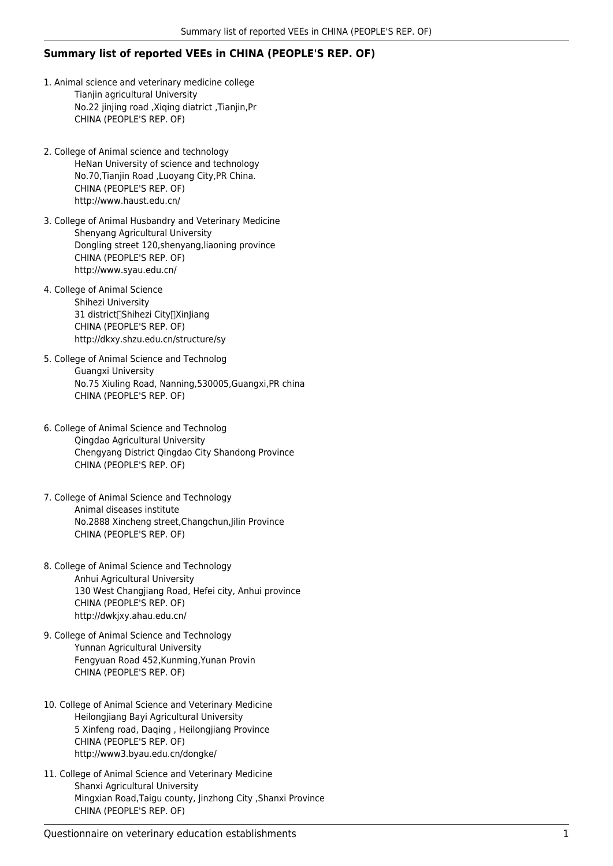## **Summary list of reported VEEs in CHINA (PEOPLE'S REP. OF)**

- 1. Animal science and veterinary medicine college Tianjin agricultural University No.22 jinjing road ,Xiqing diatrict ,Tianjin,Pr CHINA (PEOPLE'S REP. OF)
- 2. College of Animal science and technology HeNan University of science and technology No.70,Tianjin Road ,Luoyang City,PR China. CHINA (PEOPLE'S REP. OF) http://www.haust.edu.cn/
- 3. College of Animal Husbandry and Veterinary Medicine Shenyang Agricultural University Dongling street 120,shenyang,liaoning province CHINA (PEOPLE'S REP. OF) http://www.syau.edu.cn/
- 4. College of Animal Science Shihezi University 31 district<sub>(Shihezi City</sub>)XinJiang CHINA (PEOPLE'S REP. OF) http://dkxy.shzu.edu.cn/structure/sy
- 5. College of Animal Science and Technolog Guangxi University No.75 Xiuling Road, Nanning,530005,Guangxi,PR china CHINA (PEOPLE'S REP. OF)
- 6. College of Animal Science and Technolog Qingdao Agricultural University Chengyang District Qingdao City Shandong Province CHINA (PEOPLE'S REP. OF)
- 7. College of Animal Science and Technology Animal diseases institute No.2888 Xincheng street,Changchun,Jilin Province CHINA (PEOPLE'S REP. OF)
- 8. College of Animal Science and Technology Anhui Agricultural University 130 West Changjiang Road, Hefei city, Anhui province CHINA (PEOPLE'S REP. OF) http://dwkjxy.ahau.edu.cn/
- 9. College of Animal Science and Technology Yunnan Agricultural University Fengyuan Road 452,Kunming,Yunan Provin CHINA (PEOPLE'S REP. OF)
- 10. College of Animal Science and Veterinary Medicine Heilongjiang Bayi Agricultural University 5 Xinfeng road, Daqing , Heilongjiang Province CHINA (PEOPLE'S REP. OF) http://www3.byau.edu.cn/dongke/
- 11. College of Animal Science and Veterinary Medicine Shanxi Agricultural University Mingxian Road,Taigu county, Jinzhong City ,Shanxi Province CHINA (PEOPLE'S REP. OF)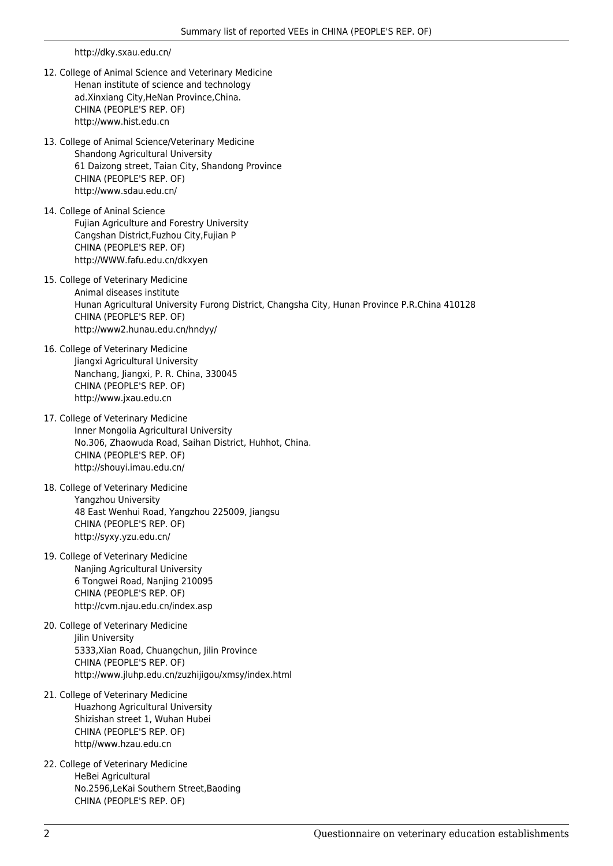http://dky.sxau.edu.cn/

- 12. College of Animal Science and Veterinary Medicine Henan institute of science and technology ad.Xinxiang City,HeNan Province,China. CHINA (PEOPLE'S REP. OF) http://www.hist.edu.cn
- 13. College of Animal Science/Veterinary Medicine Shandong Agricultural University 61 Daizong street, Taian City, Shandong Province CHINA (PEOPLE'S REP. OF) http://www.sdau.edu.cn/
- 14. College of Aninal Science Fujian Agriculture and Forestry University Cangshan District,Fuzhou City,Fujian P CHINA (PEOPLE'S REP. OF) http://WWW.fafu.edu.cn/dkxyen
- 15. College of Veterinary Medicine Animal diseases institute Hunan Agricultural University Furong District, Changsha City, Hunan Province P.R.China 410128 CHINA (PEOPLE'S REP. OF) http://www2.hunau.edu.cn/hndyy/
- 16. College of Veterinary Medicine Jiangxi Agricultural University Nanchang, Jiangxi, P. R. China, 330045 CHINA (PEOPLE'S REP. OF) http://www.jxau.edu.cn
- 17. College of Veterinary Medicine Inner Mongolia Agricultural University No.306, Zhaowuda Road, Saihan District, Huhhot, China. CHINA (PEOPLE'S REP. OF) http://shouyi.imau.edu.cn/
- 18. College of Veterinary Medicine Yangzhou University 48 East Wenhui Road, Yangzhou 225009, Jiangsu CHINA (PEOPLE'S REP. OF) http://syxy.yzu.edu.cn/
- 19. College of Veterinary Medicine Nanjing Agricultural University 6 Tongwei Road, Nanjing 210095 CHINA (PEOPLE'S REP. OF) http://cvm.njau.edu.cn/index.asp
- 20. College of Veterinary Medicine **Iilin University** 5333,Xian Road, Chuangchun, Jilin Province CHINA (PEOPLE'S REP. OF) http://www.jluhp.edu.cn/zuzhijigou/xmsy/index.html
- 21. College of Veterinary Medicine Huazhong Agricultural University Shizishan street 1, Wuhan Hubei CHINA (PEOPLE'S REP. OF) http//www.hzau.edu.cn
- 22. College of Veterinary Medicine HeBei Agricultural No.2596,LeKai Southern Street,Baoding CHINA (PEOPLE'S REP. OF)